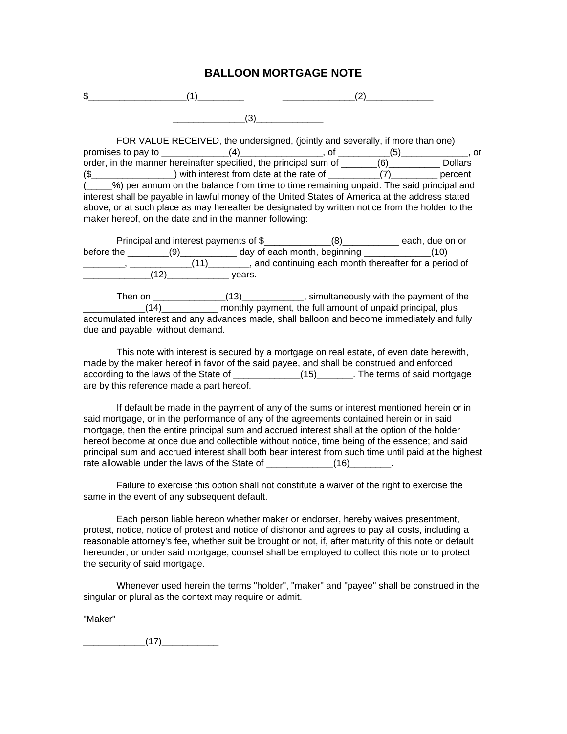## **BALLOON MORTGAGE NOTE**

| ч<br>s D |  |
|----------|--|
|          |  |

FOR VALUE RECEIVED, the undersigned, (jointly and severally, if more than one) promises to pay to \_\_\_\_\_\_\_\_\_\_\_\_\_\_(4)\_\_\_\_\_\_\_\_\_\_\_\_\_\_\_, of \_\_\_\_\_\_\_\_\_\_\_(5)\_\_\_\_\_\_\_\_\_\_\_\_, or order, in the manner hereinafter specified, the principal sum of \_\_\_\_\_\_\_(6)\_\_\_\_\_\_\_\_\_\_\_\_ Dollars (\$ ) with interest from date at the rate of  $(7)$  percent (\_\_\_\_\_%) per annum on the balance from time to time remaining unpaid. The said principal and interest shall be payable in lawful money of the United States of America at the address stated above, or at such place as may hereafter be designated by written notice from the holder to the maker hereof, on the date and in the manner following:

| Principal and interest payments of \$ |     |        |                              | each, due on or                                      |
|---------------------------------------|-----|--------|------------------------------|------------------------------------------------------|
| before the                            | (9) |        | day of each month, beginning | (10)                                                 |
|                                       |     |        |                              | and continuing each month thereafter for a period of |
|                                       |     | vears. |                              |                                                      |

Then on \_\_\_\_\_\_\_\_\_\_\_\_\_\_(13)\_\_\_\_\_\_\_\_\_\_\_, simultaneously with the payment of the  $(14)$  monthly payment, the full amount of unpaid principal, plus accumulated interest and any advances made, shall balloon and become immediately and fully due and payable, without demand.

This note with interest is secured by a mortgage on real estate, of even date herewith, made by the maker hereof in favor of the said payee, and shall be construed and enforced according to the laws of the State of \_\_\_\_\_\_\_\_\_\_\_\_\_\_(15)\_\_\_\_\_\_\_. The terms of said mortgage are by this reference made a part hereof.

If default be made in the payment of any of the sums or interest mentioned herein or in said mortgage, or in the performance of any of the agreements contained herein or in said mortgage, then the entire principal sum and accrued interest shall at the option of the holder hereof become at once due and collectible without notice, time being of the essence; and said principal sum and accrued interest shall both bear interest from such time until paid at the highest rate allowable under the laws of the State of \_\_\_\_\_\_\_\_\_\_\_\_\_\_\_\_\_\_\_\_\_\_\_.

Failure to exercise this option shall not constitute a waiver of the right to exercise the same in the event of any subsequent default.

Each person liable hereon whether maker or endorser, hereby waives presentment, protest, notice, notice of protest and notice of dishonor and agrees to pay all costs, including a reasonable attorney's fee, whether suit be brought or not, if, after maturity of this note or default hereunder, or under said mortgage, counsel shall be employed to collect this note or to protect the security of said mortgage.

Whenever used herein the terms "holder", "maker" and "payee" shall be construed in the singular or plural as the context may require or admit.

"Maker"

 $(17)$